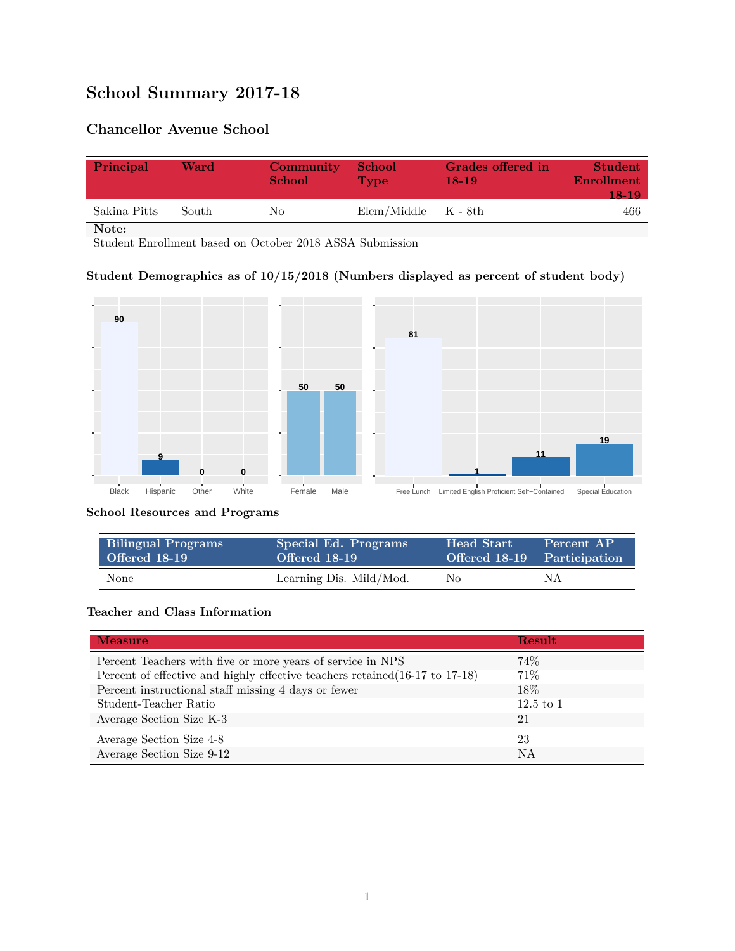# **School Summary 2017-18**

# **Chancellor Avenue School**

| Principal    | Ward  | <b>Community</b><br><b>School</b> | <b>School</b><br><b>Type</b> | <b>Grades offered in</b><br>$18-19$ | <b>Student</b><br><b>Enrollment</b><br>18-19 |
|--------------|-------|-----------------------------------|------------------------------|-------------------------------------|----------------------------------------------|
| Sakina Pitts | South | Nο                                | $Elem/Middle$ $K - 8th$      |                                     | 466                                          |
| Note:        |       |                                   |                              |                                     |                                              |

Student Enrollment based on October 2018 ASSA Submission

### **Student Demographics as of 10/15/2018 (Numbers displayed as percent of student body)**



#### **School Resources and Programs**

| <b>Bilingual Programs</b> | Special Ed. Programs    | <b>Head Start</b> | Percent AP                  |
|---------------------------|-------------------------|-------------------|-----------------------------|
| Offered 18-19             | Offered 18-19           |                   | Offered 18-19 Participation |
| <b>None</b>               | Learning Dis. Mild/Mod. | No                | ΝA                          |

#### **Teacher and Class Information**

| <b>Measure</b>                                                               | <b>Result</b> |
|------------------------------------------------------------------------------|---------------|
| Percent Teachers with five or more years of service in NPS                   | 74%           |
| Percent of effective and highly effective teachers retained (16-17 to 17-18) | 71%           |
| Percent instructional staff missing 4 days or fewer                          | 18%           |
| Student-Teacher Ratio                                                        | $12.5$ to 1   |
| Average Section Size K-3                                                     | 21            |
| Average Section Size 4-8                                                     | 23            |
| Average Section Size 9-12                                                    | NA            |